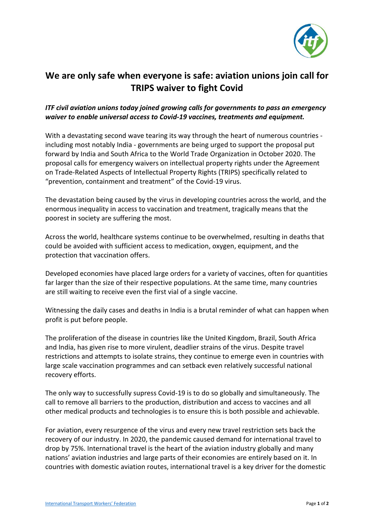

## **We are only safe when everyone is safe: aviation unions join call for TRIPS waiver to fight Covid**

## *ITF civil aviation unions today joined growing calls for governments to pass an emergency waiver to enable universal access to Covid-19 vaccines, treatments and equipment.*

With a devastating second wave tearing its way through the heart of numerous countries including most notably India - governments are being urged to support the proposal put forward by India and South Africa to the World Trade Organization in October 2020. The proposal calls for emergency waivers on intellectual property rights under the Agreement on Trade-Related Aspects of Intellectual Property Rights (TRIPS) specifically related to "prevention, containment and treatment" of the Covid-19 virus.

The devastation being caused by the virus in developing countries across the world, and the enormous inequality in access to vaccination and treatment, tragically means that the poorest in society are suffering the most.

Across the world, healthcare systems continue to be overwhelmed, resulting in deaths that could be avoided with sufficient access to medication, oxygen, equipment, and the protection that vaccination offers.

Developed economies have placed large orders for a variety of vaccines, often for quantities far larger than the size of their respective populations. At the same time, many countries are still waiting to receive even the first vial of a single vaccine.

Witnessing the daily cases and deaths in India is a brutal reminder of what can happen when profit is put before people.

The proliferation of the disease in countries like the United Kingdom, Brazil, South Africa and India, has given rise to more virulent, deadlier strains of the virus. Despite travel restrictions and attempts to isolate strains, they continue to emerge even in countries with large scale vaccination programmes and can setback even relatively successful national recovery efforts.

The only way to successfully supress Covid-19 is to do so globally and simultaneously. The call to remove all barriers to the production, distribution and access to vaccines and all other medical products and technologies is to ensure this is both possible and achievable.

For aviation, every resurgence of the virus and every new travel restriction sets back the recovery of our industry. In 2020, the pandemic caused demand for international travel to drop by 75%. International travel is the heart of the aviation industry globally and many nations' aviation industries and large parts of their economies are entirely based on it. In countries with domestic aviation routes, international travel is a key driver for the domestic